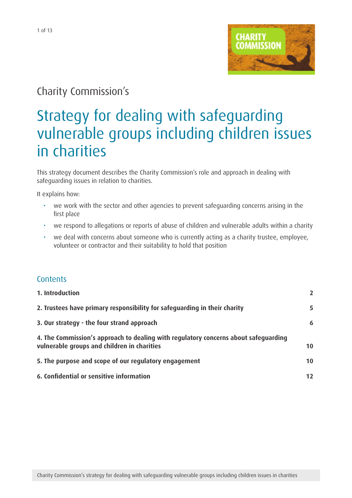

# Charity Commission's

# Strategy for dealing with safeguarding vulnerable groups including children issues in charities

This strategy document describes the Charity Commission's role and approach in dealing with safeguarding issues in relation to charities.

It explains how:

- we work with the sector and other agencies to prevent safeguarding concerns arising in the first place
- we respond to allegations or reports of abuse of children and vulnerable adults within a charity
- we deal with concerns about someone who is currently acting as a charity trustee, employee, volunteer or contractor and their suitability to hold that position

## **Contents**

| 1. Introduction                                                                                                                    |    |
|------------------------------------------------------------------------------------------------------------------------------------|----|
| 2. Trustees have primary responsibility for safeguarding in their charity                                                          | 5  |
| 3. Our strategy - the four strand approach                                                                                         | 6  |
| 4. The Commission's approach to dealing with regulatory concerns about safeguarding<br>vulnerable groups and children in charities | 10 |
| 5. The purpose and scope of our regulatory engagement                                                                              | 10 |
| 6. Confidential or sensitive information                                                                                           | 12 |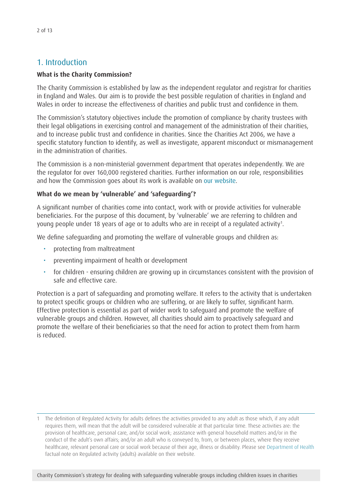## <span id="page-1-0"></span>1. Introduction

#### **What is the Charity Commission?**

The Charity Commission is established by law as the independent regulator and registrar for charities in England and Wales. Our aim is to provide the best possible regulation of charities in England and Wales in order to increase the effectiveness of charities and public trust and confidence in them.

The Commission's statutory objectives include the promotion of compliance by charity trustees with their legal obligations in exercising control and management of the administration of their charities, and to increase public trust and confidence in charities. Since the Charities Act 2006, we have a specific statutory function to identify, as well as investigate, apparent misconduct or mismanagement in the administration of charities.

The Commission is a non-ministerial government department that operates independently. We are the regulator for over 160,000 registered charities. Further information on our role, responsibilities and how the Commission goes about its work is available on [our website.](http://www.charitycommission.gov.uk/index.aspx)

#### **What do we mean by 'vulnerable' and 'safeguarding'?**

A significant number of charities come into contact, work with or provide activities for vulnerable beneficiaries. For the purpose of this document, by 'vulnerable' we are referring to children and young people under 18 years of age or to adults who are in receipt of a regulated activity<sup>1</sup>.

We define safeguarding and promoting the welfare of vulnerable groups and children as:

- protecting from maltreatment
- preventing impairment of health or development
- for children ensuring children are growing up in circumstances consistent with the provision of safe and effective care.

Protection is a part of safeguarding and promoting welfare. It refers to the activity that is undertaken to protect specific groups or children who are suffering, or are likely to suffer, significant harm. Effective protection is essential as part of wider work to safeguard and promote the welfare of vulnerable groups and children. However, all charities should aim to proactively safeguard and promote the welfare of their beneficiaries so that the need for action to protect them from harm is reduced.

<sup>1</sup> The definition of Regulated Activity for adults defines the activities provided to any adult as those which, if any adult requires them, will mean that the adult will be considered vulnerable at that particular time. These activities are: the provision of healthcare, personal care, and/or social work; assistance with general household matters and/or in the conduct of the adult's own affairs; and/or an adult who is conveyed to, from, or between places, where they receive healthcare, relevant personal care or social work because of their age, illness or disability. Please see [Department](http://www.dh.gov.uk/) of Health factual note on Regulated activity (adults) available on their website.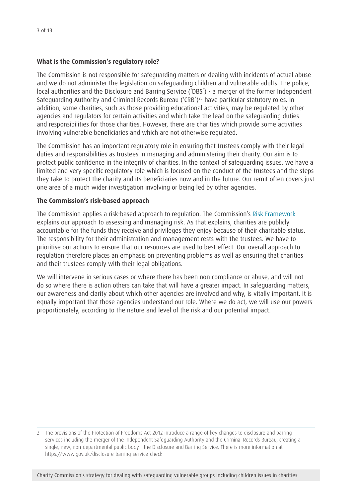#### **What is the Commission's regulatory role?**

The Commission is not responsible for safeguarding matters or dealing with incidents of actual abuse and we do not administer the legislation on safeguarding children and vulnerable adults. The police, local authorities and the Disclosure and Barring Service ('DBS') - a merger of the former Independent Safeguarding Authority and Criminal Records Bureau ('CRB')<sup>2</sup>- have particular statutory roles. In addition, some charities, such as those providing educational activities, may be regulated by other agencies and regulators for certain activities and which take the lead on the safeguarding duties and responsibilities for those charities. However, there are charities which provide some activities involving vulnerable beneficiaries and which are not otherwise regulated.

The Commission has an important regulatory role in ensuring that trustees comply with their legal duties and responsibilities as trustees in managing and administering their charity. Our aim is to protect public confidence in the integrity of charities. In the context of safeguarding issues, we have a limited and very specific regulatory role which is focused on the conduct of the trustees and the steps they take to protect the charity and its beneficiaries now and in the future. Our remit often covers just one area of a much wider investigation involving or being led by other agencies.

#### **The Commission's risk-based approach**

The Commission applies a risk-based approach to regulation. The Commission's Risk [Framework](http://www.charity-commission.gov.uk/Our_regulatory_activity/Our_approach/default.aspx) explains our approach to assessing and managing risk. As that explains, charities are publicly accountable for the funds they receive and privileges they enjoy because of their charitable status. The responsibility for their administration and management rests with the trustees. We have to prioritise our actions to ensure that our resources are used to best effect. Our overall approach to regulation therefore places an emphasis on preventing problems as well as ensuring that charities and their trustees comply with their legal obligations.

We will intervene in serious cases or where there has been non compliance or abuse, and will not do so where there is action others can take that will have a greater impact. In safeguarding matters, our awareness and clarity about which other agencies are involved and why, is vitally important. It is equally important that those agencies understand our role. Where we do act, we will use our powers proportionately, according to the nature and level of the risk and our potential impact.

<sup>2</sup> The provisions of the Protection of Freedoms Act 2012 introduce a range of key changes to disclosure and barring services including the merger of the Independent Safeguarding Authority and the Criminal Records Bureau, creating a single, new, non-departmental public body - the Disclosure and Barring Service. There is more information at https://www.gov.uk/disclosure-barring-service-check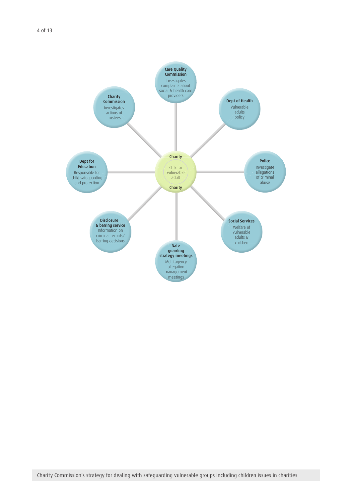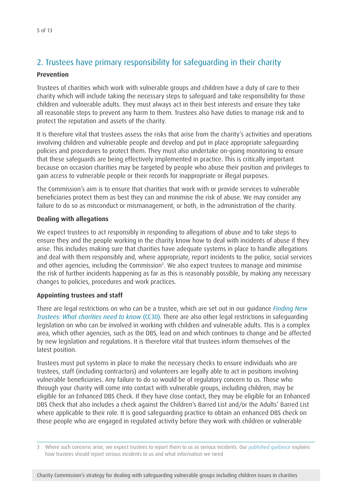## <span id="page-4-0"></span>2. Trustees have primary responsibility for safeguarding in their charity

#### **Prevention**

Trustees of charities which work with vulnerable groups and children have a duty of care to their charity which will include taking the necessary steps to safeguard and take responsibility for those children and vulnerable adults. They must always act in their best interests and ensure they take all reasonable steps to prevent any harm to them. Trustees also have duties to manage risk and to protect the reputation and assets of the charity.

It is therefore vital that trustees assess the risks that arise from the charity's activities and operations involving children and vulnerable people and develop and put in place appropriate safeguarding policies and procedures to protect them. They must also undertake on-going monitoring to ensure that these safeguards are being effectively implemented in practice. This is critically important because on occasion charities may be targeted by people who abuse their position and privileges to gain access to vulnerable people or their records for inappropriate or illegal purposes.

The Commission's aim is to ensure that charities that work with or provide services to vulnerable beneficiaries protect them as best they can and minimise the risk of abuse. We may consider any failure to do so as misconduct or mismanagement, or both, in the administration of the charity.

#### **Dealing with allegations**

We expect trustees to act responsibly in responding to allegations of abuse and to take steps to ensure they and the people working in the charity know how to deal with incidents of abuse if they arise. This includes making sure that charities have adequate systems in place to handle allegations and deal with them responsibly and, where appropriate, report incidents to the police, social services and other agencies, including the Commission<sup>3</sup>. We also expect trustees to manage and minimise the risk of further incidents happening as far as this is reasonably possible, by making any necessary changes to policies, procedures and work practices.

## **Appointing trustees and staff**

There are legal restrictions on who can be a trustee, which are set out in our guidance *[Finding New](http://www.charitycommission.gov.uk/publications/cc30.aspx)  [Trustees: What charities need to know](http://www.charitycommission.gov.uk/publications/cc30.aspx)* (CC30). There are also other legal restrictions in safeguarding legislation on who can be involved in working with children and vulnerable adults. This is a complex area, which other agencies, such as the DBS, lead on and which continues to change and be affected by new legislation and regulations. It is therefore vital that trustees inform themselves of the latest position.

Trustees must put systems in place to make the necessary checks to ensure individuals who are trustees, staff (including contractors) and volunteers are legally able to act in positions involving vulnerable beneficiaries. Any failure to do so would be of regulatory concern to us. Those who through your charity will come into contact with vulnerable groups, including children, may be eligible for an Enhanced DBS Check. If they have close contact, they may be eligible for an Enhanced DBS Check that also includes a check against the Children's Barred List and/or the Adults' Barred List where applicable to their role. It is good safeguarding practice to obtain an enhanced DBS check on those people who are engaged in regulated activity before they work with children or vulnerable

Charity Commission's strategy for dealing with safeguarding vulnerable groups including children issues in charities

<sup>3</sup> Where such concerns arise, we expect trustees to report them to us as serious incidents. Our [published](http://www.charitycommission.gov.uk/Our_regulatory_activity/Reporting_issues/rsinotes.aspx) quidance explains how trustees should report serious incidents to us and what information we need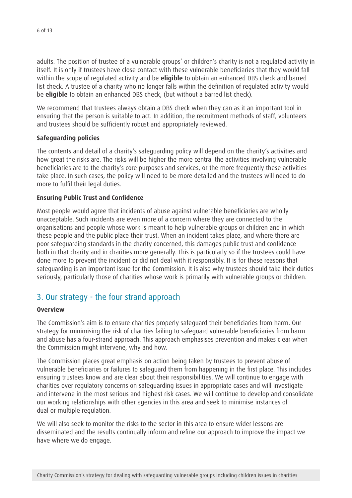<span id="page-5-0"></span>adults. The position of trustee of a vulnerable groups' or children's charity is not a regulated activity in itself. It is only if trustees have close contact with these vulnerable beneficiaries that they would fall within the scope of regulated activity and be **eligible** to obtain an enhanced DBS check and barred list check. A trustee of a charity who no longer falls within the definition of regulated activity would be **eligible** to obtain an enhanced DBS check, (but without a barred list check).

We recommend that trustees always obtain a DBS check when they can as it an important tool in ensuring that the person is suitable to act. In addition, the recruitment methods of staff, volunteers and trustees should be sufficiently robust and appropriately reviewed.

#### **Safeguarding policies**

The contents and detail of a charity's safeguarding policy will depend on the charity's activities and how great the risks are. The risks will be higher the more central the activities involving vulnerable beneficiaries are to the charity's core purposes and services, or the more frequently these activities take place. In such cases, the policy will need to be more detailed and the trustees will need to do more to fulfil their legal duties.

#### **Ensuring Public Trust and Confidence**

Most people would agree that incidents of abuse against vulnerable beneficiaries are wholly unacceptable. Such incidents are even more of a concern where they are connected to the organisations and people whose work is meant to help vulnerable groups or children and in which these people and the public place their trust. When an incident takes place, and where there are poor safeguarding standards in the charity concerned, this damages public trust and confidence both in that charity and in charities more generally. This is particularly so if the trustees could have done more to prevent the incident or did not deal with it responsibly. It is for these reasons that safeguarding is an important issue for the Commission. It is also why trustees should take their duties seriously, particularly those of charities whose work is primarily with vulnerable groups or children.

## 3. Our strategy - the four strand approach

#### **Overview**

The Commission's aim is to ensure charities properly safeguard their beneficiaries from harm. Our strategy for minimising the risk of charities failing to safeguard vulnerable beneficiaries from harm and abuse has a four-strand approach. This approach emphasises prevention and makes clear when the Commission might intervene, why and how.

The Commission places great emphasis on action being taken by trustees to prevent abuse of vulnerable beneficiaries or failures to safeguard them from happening in the first place. This includes ensuring trustees know and are clear about their responsibilities. We will continue to engage with charities over regulatory concerns on safeguarding issues in appropriate cases and will investigate and intervene in the most serious and highest risk cases. We will continue to develop and consolidate our working relationships with other agencies in this area and seek to minimise instances of dual or multiple regulation.

We will also seek to monitor the risks to the sector in this area to ensure wider lessons are disseminated and the results continually inform and refine our approach to improve the impact we have where we do engage.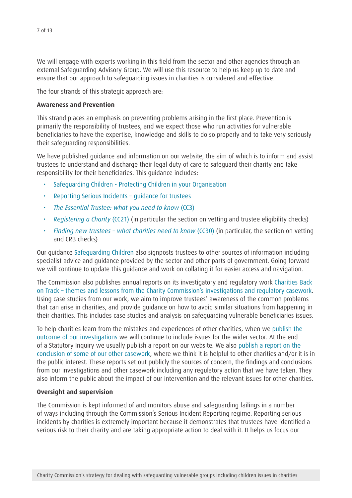We will engage with experts working in this field from the sector and other agencies through an external Safeguarding Advisory Group. We will use this resource to help us keep up to date and ensure that our approach to safeguarding issues in charities is considered and effective.

The four strands of this strategic approach are:

#### **Awareness and Prevention**

This strand places an emphasis on preventing problems arising in the first place. Prevention is primarily the responsibility of trustees, and we expect those who run activities for vulnerable beneficiaries to have the expertise, knowledge and skills to do so properly and to take very seriously their safeguarding responsibilities.

We have published guidance and information on our website, the aim of which is to inform and assist trustees to understand and discharge their legal duty of care to safeguard their charity and take responsibility for their beneficiaries. This guidance includes:

- [Safeguarding Children Protecting Children in your Organisation](http://www.charity-commission.gov.uk/charity_requirements_guidance/charity_governance/managing_risk/protection.aspx?)
- [Reporting](http://www.charitycommission.gov.uk/Our_regulatory_activity/Reporting_issues/Trustee_employee_and_volunteer_guidance_index.aspx) Serious Incidents quidance for trustees
- • *[The Essential Trustee: what you need to know](http://www.charitycommission.gov.uk/Publications/cc3.aspx)* (CC3)
- • *[Registering a Charity](http://www.charity-commission.gov.uk/Publications/cc21.aspx)* (CC21) (in particular the section on vetting and trustee eligibility checks)
- • *[Finding new trustees what charities need to know](http://www.charitycommission.gov.uk/Publications/cc30.aspx)* (CC30) (in particular, the section on vetting and CRB checks)

Our guidance [Safeguarding Children](http://www.charity-commission.gov.uk/charity_requirements_guidance/charity_governance/managing_risk/protection.aspx?) also signposts trustees to other sources of information including specialist advice and guidance provided by the sector and other parts of government. Going forward we will continue to update this guidance and work on collating it for easier access and navigation.

The Commission also publishes annual reports on its investigatory and regulatory work [Charities Back](http://www.charity-commission.gov.uk/Our_regulatory_activity/Compliance_reports/Back_on_Track_index.aspx)  on Track – themes and lessons from the Charity Commission's [investigations](http://www.charity-commission.gov.uk/Our_regulatory_activity/Compliance_reports/Back_on_Track_index.aspx) and regulatory casework. Using case studies from our work, we aim to improve trustees' awareness of the common problems that can arise in charities, and provide guidance on how to avoid similar situations from happening in their charities. This includes case studies and analysis on safeguarding vulnerable beneficiaries issues.

To help charities learn from the mistakes and experiences of other charities, when we [publish the](http://www.charity-commission.gov.uk/Our_regulatory_activity/Compliance_reports/inquiry_reports/default.aspx)  [outcome of our investigations](http://www.charity-commission.gov.uk/Our_regulatory_activity/Compliance_reports/inquiry_reports/default.aspx) we will continue to include issues for the wider sector. At the end of a Statutory Inquiry we usually publish a report on our website. We also [publish a report on the](http://www.charity-commission.gov.uk/Our_regulatory_activity/Compliance_reports/RC_reports/default.aspx)  [conclusion of some of our other casework,](http://www.charity-commission.gov.uk/Our_regulatory_activity/Compliance_reports/RC_reports/default.aspx) where we think it is helpful to other charities and/or it is in the public interest. These reports set out publicly the sources of concern, the findings and conclusions from our investigations and other casework including any regulatory action that we have taken. They also inform the public about the impact of our intervention and the relevant issues for other charities.

#### **Oversight and supervision**

The Commission is kept informed of and monitors abuse and safeguarding failings in a number of ways including through the Commission's Serious Incident Reporting regime. Reporting serious incidents by charities is extremely important because it demonstrates that trustees have identified a serious risk to their charity and are taking appropriate action to deal with it. It helps us focus our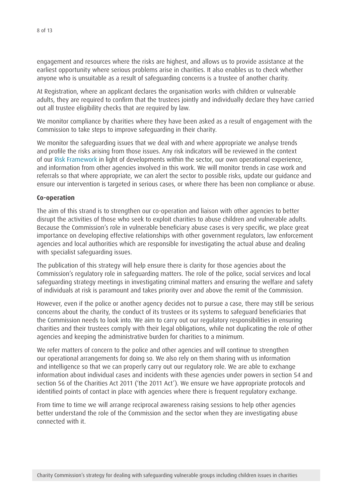engagement and resources where the risks are highest, and allows us to provide assistance at the earliest opportunity where serious problems arise in charities. It also enables us to check whether anyone who is unsuitable as a result of safeguarding concerns is a trustee of another charity.

At Registration, where an applicant declares the organisation works with children or vulnerable adults, they are required to confirm that the trustees jointly and individually declare they have carried out all trustee eligibility checks that are required by law.

We monitor compliance by charities where they have been asked as a result of engagement with the Commission to take steps to improve safeguarding in their charity.

We monitor the safeguarding issues that we deal with and where appropriate we analyse trends and profile the risks arising from those issues. Any risk indicators will be reviewed in the context of our Risk [Framework](http://www.charity-commission.gov.uk/Our_regulatory_activity/Our_approach/default.aspx) in light of developments within the sector, our own operational experience, and information from other agencies involved in this work. We will monitor trends in case work and referrals so that where appropriate, we can alert the sector to possible risks, update our guidance and ensure our intervention is targeted in serious cases, or where there has been non compliance or abuse.

#### **Co-operation**

The aim of this strand is to strengthen our co-operation and liaison with other agencies to better disrupt the activities of those who seek to exploit charities to abuse children and vulnerable adults. Because the Commission's role in vulnerable beneficiary abuse cases is very specific, we place great importance on developing effective relationships with other government regulators, law enforcement agencies and local authorities which are responsible for investigating the actual abuse and dealing with specialist safeguarding issues.

The publication of this strategy will help ensure there is clarity for those agencies about the Commission's regulatory role in safeguarding matters. The role of the police, social services and local safeguarding strategy meetings in investigating criminal matters and ensuring the welfare and safety of individuals at risk is paramount and takes priority over and above the remit of the Commission.

However, even if the police or another agency decides not to pursue a case, there may still be serious concerns about the charity, the conduct of its trustees or its systems to safeguard beneficiaries that the Commission needs to look into. We aim to carry out our regulatory responsibilities in ensuring charities and their trustees comply with their legal obligations, while not duplicating the role of other agencies and keeping the administrative burden for charities to a minimum.

We refer matters of concern to the police and other agencies and will continue to strengthen our operational arrangements for doing so. We also rely on them sharing with us information and intelligence so that we can properly carry out our regulatory role. We are able to exchange information about individual cases and incidents with these agencies under powers in section 54 and section 56 of the Charities Act 2011 ('the 2011 Act'). We ensure we have appropriate protocols and identified points of contact in place with agencies where there is frequent regulatory exchange.

From time to time we will arrange reciprocal awareness raising sessions to help other agencies better understand the role of the Commission and the sector when they are investigating abuse connected with it.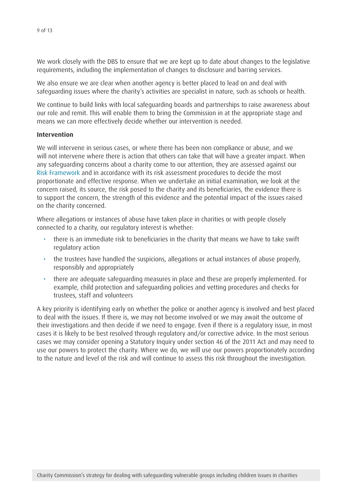We work closely with the DBS to ensure that we are kept up to date about changes to the legislative requirements, including the implementation of changes to disclosure and barring services.

We also ensure we are clear when another agency is better placed to lead on and deal with safeguarding issues where the charity's activities are specialist in nature, such as schools or health.

We continue to build links with local safeguarding boards and partnerships to raise awareness about our role and remit. This will enable them to bring the Commission in at the appropriate stage and means we can more effectively decide whether our intervention is needed.

#### **Intervention**

We will intervene in serious cases, or where there has been non compliance or abuse, and we will not intervene where there is action that others can take that will have a greater impact. When any safeguarding concerns about a charity come to our attention, they are assessed against our Risk [Framework](http://www.charity-commission.gov.uk/Our_regulatory_activity/Our_approach/default.aspx) and in accordance with its risk assessment procedures to decide the most proportionate and effective response. When we undertake an initial examination, we look at the concern raised, its source, the risk posed to the charity and its beneficiaries, the evidence there is to support the concern, the strength of this evidence and the potential impact of the issues raised on the charity concerned.

Where allegations or instances of abuse have taken place in charities or with people closely connected to a charity, our regulatory interest is whether:

- there is an immediate risk to beneficiaries in the charity that means we have to take swift regulatory action
- the trustees have handled the suspicions, allegations or actual instances of abuse properly, responsibly and appropriately
- there are adequate safequarding measures in place and these are properly implemented. For example, child protection and safeguarding policies and vetting procedures and checks for trustees, staff and volunteers

A key priority is identifying early on whether the police or another agency is involved and best placed to deal with the issues. If there is, we may not become involved or we may await the outcome of their investigations and then decide if we need to engage. Even if there is a regulatory issue, in most cases it is likely to be best resolved through regulatory and/or corrective advice. In the most serious cases we may consider opening a Statutory Inquiry under section 46 of the 2011 Act and may need to use our powers to protect the charity. Where we do, we will use our powers proportionately according to the nature and level of the risk and will continue to assess this risk throughout the investigation.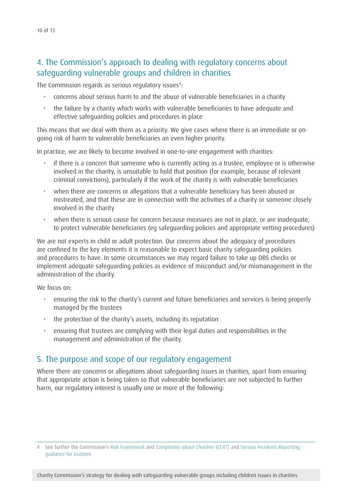<span id="page-9-0"></span>The Commission regards as serious regulatory issues<sup>4</sup>:

- • concerns about serious harm to and the abuse of vulnerable beneficiaries in a charity
- the failure by a charity which works with vulnerable beneficiaries to have adequate and effective safeguarding policies and procedures in place

This means that we deal with them as a priority. We give cases where there is an immediate or ongoing risk of harm to vulnerable beneficiaries an even higher priority.

In practice, we are likely to become involved in one-to-one engagement with charities:

- if there is a concern that someone who is currently acting as a trustee, employee or is otherwise involved in the charity, is unsuitable to hold that position (for example, because of relevant criminal convictions), particularly if the work of the charity is with vulnerable beneficiaries
- when there are concerns or allegations that a vulnerable beneficiary has been abused or mistreated, and that these are in connection with the activities of a charity or someone closely involved in the charity
- when there is serious cause for concern because measures are not in place, or are inadequate, to protect vulnerable beneficiaries (eg safeguarding policies and appropriate vetting procedures)

We are not experts in child or adult protection. Our concerns about the adequacy of procedures are confined to the key elements it is reasonable to expect basic charity safeguarding policies and procedures to have. In some circumstances we may regard failure to take up DBS checks or implement adequate safeguarding policies as evidence of misconduct and/or mismanagement in the administration of the charity.

We focus on:

- ensuring the risk to the charity's current and future beneficiaries and services is being properly managed by the trustees
- the protection of the charity's assets, including its reputation
- • ensuring that trustees are complying with their legal duties and responsibilities in the management and administration of the charity.

## 5. The purpose and scope of our regulatory engagement

Where there are concerns or allegations about safeguarding issues in charities, apart from ensuring that appropriate action is being taken so that vulnerable beneficiaries are not subjected to further harm, our regulatory interest is usually one or more of the following:

4 See further the Commission's Risk [Framework](http://www.charity-commission.gov.uk/Our_regulatory_activity/Our_approach/default.aspx) and *[Complaints about Charities](http://www.charitycommission.gov.uk/Publications/cc47.aspx)* (CC47) and Serious Incidents [Reporting](http://www.charitycommission.gov.uk/Our_regulatory_activity/Reporting_issues/rsinotes.aspx) [guidance](http://www.charitycommission.gov.uk/Our_regulatory_activity/Reporting_issues/rsinotes.aspx) for trustees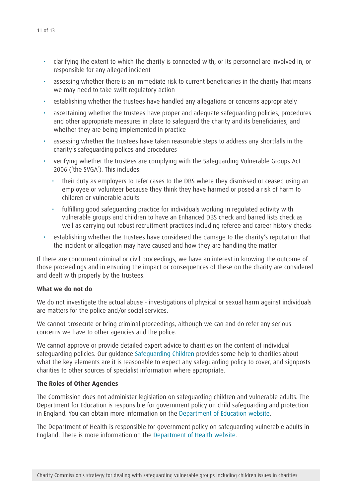- • clarifying the extent to which the charity is connected with, or its personnel are involved in, or responsible for any alleged incident
- • assessing whether there is an immediate risk to current beneficiaries in the charity that means we may need to take swift regulatory action
- establishing whether the trustees have handled any allegations or concerns appropriately
- ascertaining whether the trustees have proper and adequate safeguarding policies, procedures and other appropriate measures in place to safeguard the charity and its beneficiaries, and whether they are being implemented in practice
- • assessing whether the trustees have taken reasonable steps to address any shortfalls in the charity's safeguarding polices and procedures
- verifying whether the trustees are complying with the Safeguarding Vulnerable Groups Act 2006 ('the SVGA'). This includes:
	- their duty as employers to refer cases to the DBS where they dismissed or ceased using an employee or volunteer because they think they have harmed or posed a risk of harm to children or vulnerable adults
	- • fulfilling good safeguarding practice for individuals working in regulated activity with vulnerable groups and children to have an Enhanced DBS check and barred lists check as well as carrying out robust recruitment practices including referee and career history checks
- establishing whether the trustees have considered the damage to the charity's reputation that the incident or allegation may have caused and how they are handling the matter

If there are concurrent criminal or civil proceedings, we have an interest in knowing the outcome of those proceedings and in ensuring the impact or consequences of these on the charity are considered and dealt with properly by the trustees.

#### **What we do not do**

We do not investigate the actual abuse - investigations of physical or sexual harm against individuals are matters for the police and/or social services.

We cannot prosecute or bring criminal proceedings, although we can and do refer any serious concerns we have to other agencies and the police.

We cannot approve or provide detailed expert advice to charities on the content of individual safeguarding policies. Our guidance [Safeguarding Children](http://www.charity-commission.gov.uk/charity_requirements_guidance/charity_governance/managing_risk/protection.aspx?) provides some help to charities about what the key elements are it is reasonable to expect any safeguarding policy to cover, and signposts charities to other sources of specialist information where appropriate.

#### **The Roles of Other Agencies**

The Commission does not administer legislation on safeguarding children and vulnerable adults. The Department for Education is responsible for government policy on child safeguarding and protection in England. You can obtain more information on the [Department of Education website](http://www.education.gov.uk/).

The Department of Health is responsible for government policy on safeguarding vulnerable adults in England. There is more information on the [Department of Health website](http://www.education.gov.uk/).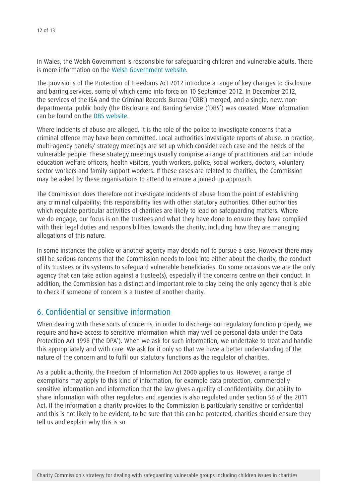<span id="page-11-0"></span>In Wales, the Welsh Government is responsible for safeguarding children and vulnerable adults. There is more information on the Welsh [Government](http://wales.gov.uk/?lang=en) website.

The provisions of the Protection of Freedoms Act 2012 introduce a range of key changes to disclosure and barring services, some of which came into force on 10 September 2012. In December 2012, the services of the ISA and the Criminal Records Bureau ('CRB') merged, and a single, new, nondepartmental public body (the Disclosure and Barring Service ('DBS') was created. More information can be found on the [DBS website](https://www.gov.uk/disclosure-barring-service-check).

Where incidents of abuse are alleged, it is the role of the police to investigate concerns that a criminal offence may have been committed. Local authorities investigate reports of abuse. In practice, multi-agency panels/ strategy meetings are set up which consider each case and the needs of the vulnerable people. These strategy meetings usually comprise a range of practitioners and can include education welfare officers, health visitors, youth workers, police, social workers, doctors, voluntary sector workers and family support workers. If these cases are related to charities, the Commission may be asked by these organisations to attend to ensure a joined-up approach.

The Commission does therefore not investigate incidents of abuse from the point of establishing any criminal culpability; this responsibility lies with other statutory authorities. Other authorities which regulate particular activities of charities are likely to lead on safeguarding matters. Where we do engage, our focus is on the trustees and what they have done to ensure they have complied with their legal duties and responsibilities towards the charity, including how they are managing allegations of this nature.

In some instances the police or another agency may decide not to pursue a case. However there may still be serious concerns that the Commission needs to look into either about the charity, the conduct of its trustees or its systems to safeguard vulnerable beneficiaries. On some occasions we are the only agency that can take action against a trustee(s), especially if the concerns centre on their conduct. In addition, the Commission has a distinct and important role to play being the only agency that is able to check if someone of concern is a trustee of another charity.

## 6. Confidential or sensitive information

When dealing with these sorts of concerns, in order to discharge our regulatory function properly, we require and have access to sensitive information which may well be personal data under the Data Protection Act 1998 ('the DPA'). When we ask for such information, we undertake to treat and handle this appropriately and with care. We ask for it only so that we have a better understanding of the nature of the concern and to fulfil our statutory functions as the regulator of charities.

As a public authority, the Freedom of Information Act 2000 applies to us. However, a range of exemptions may apply to this kind of information, for example data protection, commercially sensitive information and information that the law gives a quality of confidentiality. Our ability to share information with other regulators and agencies is also regulated under section 56 of the 2011 Act. If the information a charity provides to the Commission is particularly sensitive or confidential and this is not likely to be evident, to be sure that this can be protected, charities should ensure they tell us and explain why this is so.